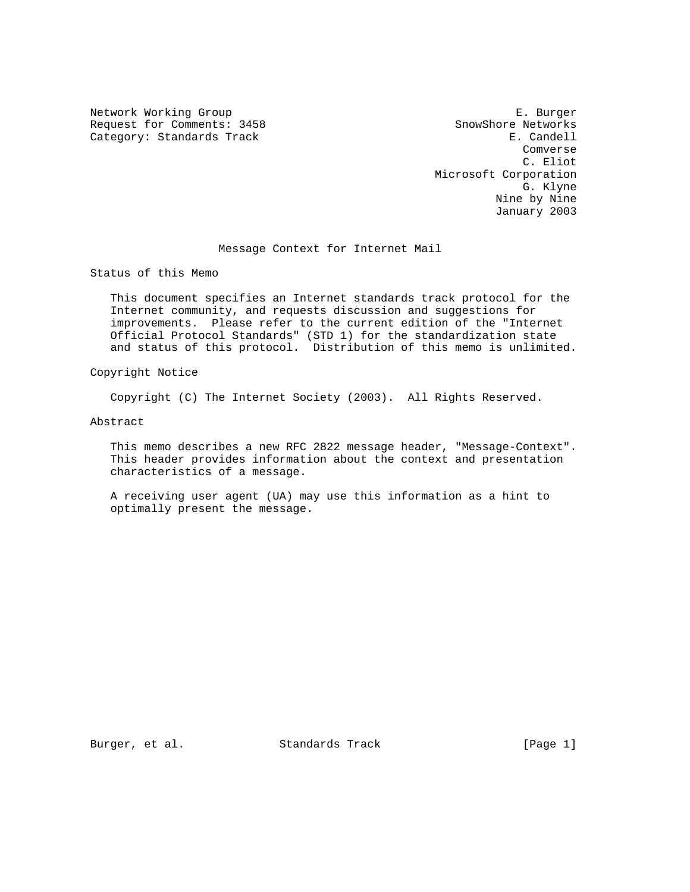Network Working Group **E. Burger** Request for Comments: 3458 SnowShore Networks<br>
Category: Standards Track B. Candell Category: Standards Track

 Comverse C. Eliot Microsoft Corporation G. Klyne Nine by Nine January 2003

Message Context for Internet Mail

Status of this Memo

 This document specifies an Internet standards track protocol for the Internet community, and requests discussion and suggestions for improvements. Please refer to the current edition of the "Internet Official Protocol Standards" (STD 1) for the standardization state and status of this protocol. Distribution of this memo is unlimited.

Copyright Notice

Copyright (C) The Internet Society (2003). All Rights Reserved.

Abstract

 This memo describes a new RFC 2822 message header, "Message-Context". This header provides information about the context and presentation characteristics of a message.

 A receiving user agent (UA) may use this information as a hint to optimally present the message.

Burger, et al. Standards Track [Page 1]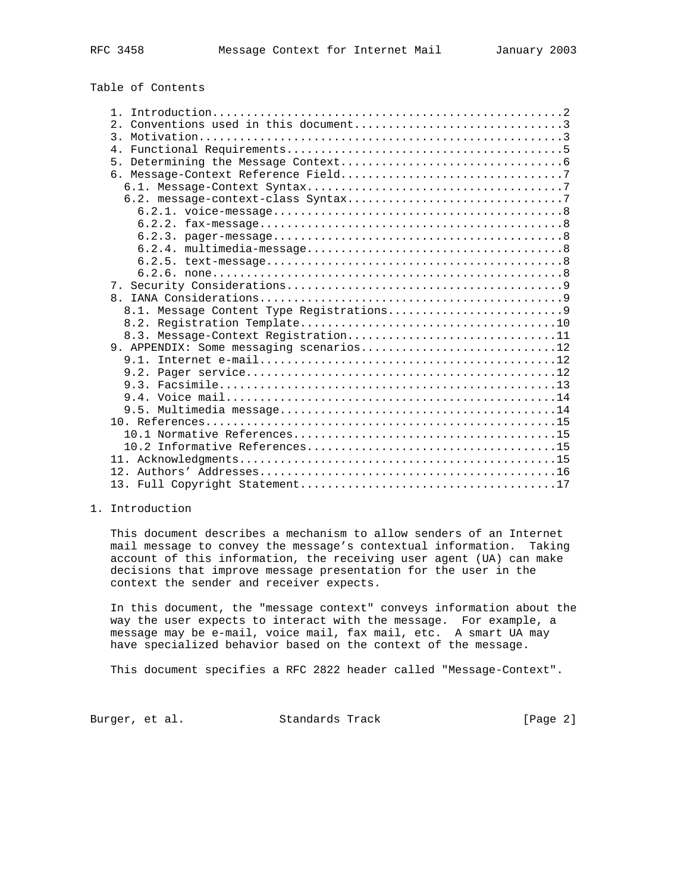Table of Contents

| 8.3. Message-Context Registration11     |
|-----------------------------------------|
| 9. APPENDIX: Some messaging scenarios12 |
|                                         |
|                                         |
|                                         |
|                                         |
|                                         |
|                                         |
|                                         |
|                                         |
|                                         |
|                                         |
|                                         |
|                                         |

# 1. Introduction

 This document describes a mechanism to allow senders of an Internet mail message to convey the message's contextual information. Taking account of this information, the receiving user agent (UA) can make decisions that improve message presentation for the user in the context the sender and receiver expects.

 In this document, the "message context" conveys information about the way the user expects to interact with the message. For example, a message may be e-mail, voice mail, fax mail, etc. A smart UA may have specialized behavior based on the context of the message.

This document specifies a RFC 2822 header called "Message-Context".

Burger, et al. Standards Track [Page 2]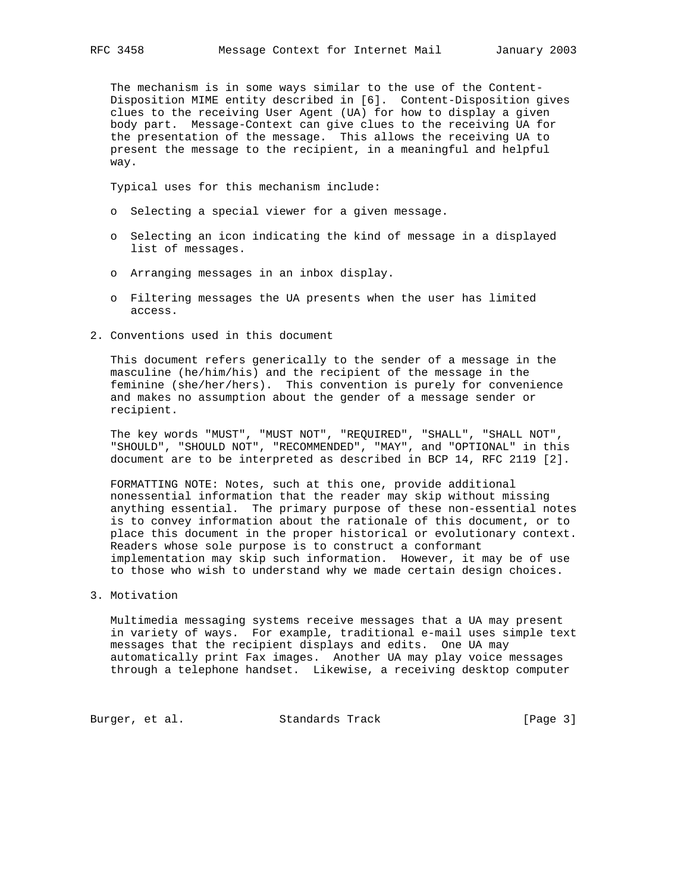The mechanism is in some ways similar to the use of the Content- Disposition MIME entity described in [6]. Content-Disposition gives clues to the receiving User Agent (UA) for how to display a given body part. Message-Context can give clues to the receiving UA for the presentation of the message. This allows the receiving UA to present the message to the recipient, in a meaningful and helpful way.

Typical uses for this mechanism include:

- o Selecting a special viewer for a given message.
- o Selecting an icon indicating the kind of message in a displayed list of messages.
- o Arranging messages in an inbox display.
- o Filtering messages the UA presents when the user has limited access.
- 2. Conventions used in this document

 This document refers generically to the sender of a message in the masculine (he/him/his) and the recipient of the message in the feminine (she/her/hers). This convention is purely for convenience and makes no assumption about the gender of a message sender or recipient.

 The key words "MUST", "MUST NOT", "REQUIRED", "SHALL", "SHALL NOT", "SHOULD", "SHOULD NOT", "RECOMMENDED", "MAY", and "OPTIONAL" in this document are to be interpreted as described in BCP 14, RFC 2119 [2].

 FORMATTING NOTE: Notes, such at this one, provide additional nonessential information that the reader may skip without missing anything essential. The primary purpose of these non-essential notes is to convey information about the rationale of this document, or to place this document in the proper historical or evolutionary context. Readers whose sole purpose is to construct a conformant implementation may skip such information. However, it may be of use to those who wish to understand why we made certain design choices.

3. Motivation

 Multimedia messaging systems receive messages that a UA may present in variety of ways. For example, traditional e-mail uses simple text messages that the recipient displays and edits. One UA may automatically print Fax images. Another UA may play voice messages through a telephone handset. Likewise, a receiving desktop computer

Burger, et al. Standards Track [Page 3]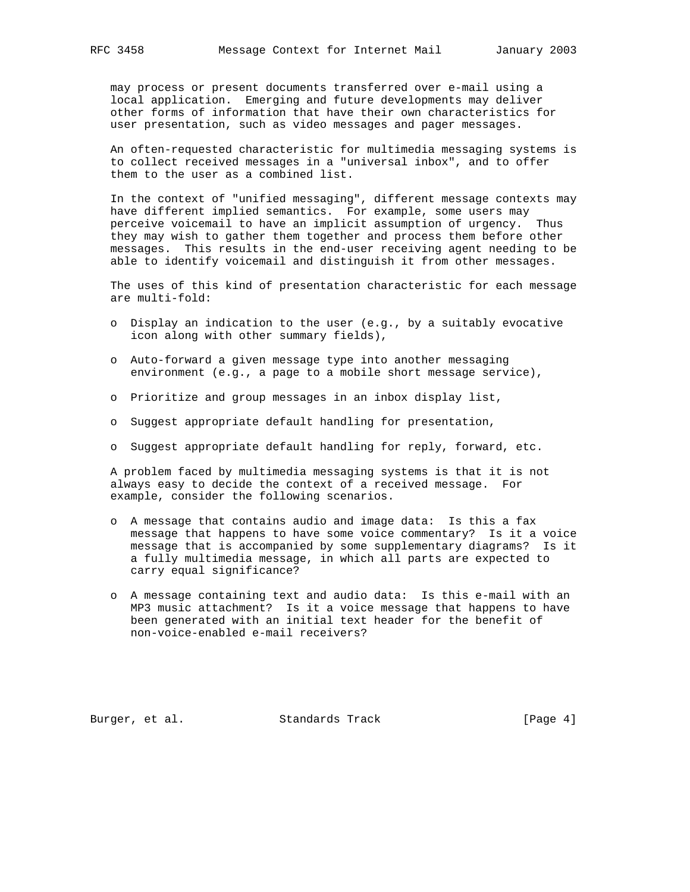may process or present documents transferred over e-mail using a local application. Emerging and future developments may deliver other forms of information that have their own characteristics for user presentation, such as video messages and pager messages.

 An often-requested characteristic for multimedia messaging systems is to collect received messages in a "universal inbox", and to offer them to the user as a combined list.

 In the context of "unified messaging", different message contexts may have different implied semantics. For example, some users may perceive voicemail to have an implicit assumption of urgency. Thus they may wish to gather them together and process them before other messages. This results in the end-user receiving agent needing to be able to identify voicemail and distinguish it from other messages.

 The uses of this kind of presentation characteristic for each message are multi-fold:

- o Display an indication to the user (e.g., by a suitably evocative icon along with other summary fields),
- o Auto-forward a given message type into another messaging environment (e.g., a page to a mobile short message service),
- o Prioritize and group messages in an inbox display list,
- o Suggest appropriate default handling for presentation,
- o Suggest appropriate default handling for reply, forward, etc.

 A problem faced by multimedia messaging systems is that it is not always easy to decide the context of a received message. For example, consider the following scenarios.

- o A message that contains audio and image data: Is this a fax message that happens to have some voice commentary? Is it a voice message that is accompanied by some supplementary diagrams? Is it a fully multimedia message, in which all parts are expected to carry equal significance?
- o A message containing text and audio data: Is this e-mail with an MP3 music attachment? Is it a voice message that happens to have been generated with an initial text header for the benefit of non-voice-enabled e-mail receivers?

Burger, et al. Standards Track [Page 4]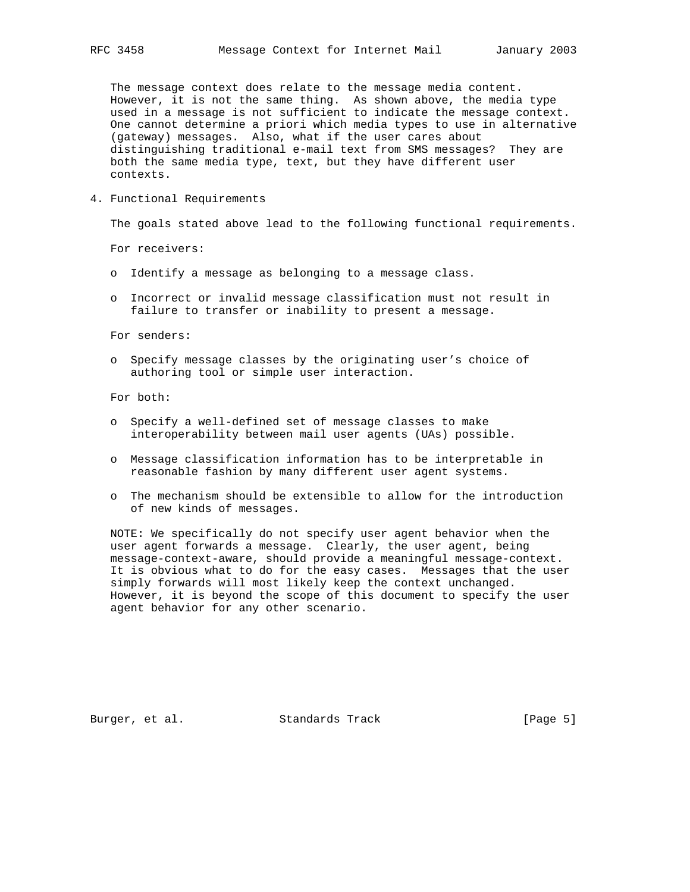The message context does relate to the message media content. However, it is not the same thing. As shown above, the media type used in a message is not sufficient to indicate the message context. One cannot determine a priori which media types to use in alternative (gateway) messages. Also, what if the user cares about distinguishing traditional e-mail text from SMS messages? They are both the same media type, text, but they have different user contexts.

4. Functional Requirements

The goals stated above lead to the following functional requirements.

For receivers:

- o Identify a message as belonging to a message class.
- o Incorrect or invalid message classification must not result in failure to transfer or inability to present a message.

For senders:

 o Specify message classes by the originating user's choice of authoring tool or simple user interaction.

For both:

- o Specify a well-defined set of message classes to make interoperability between mail user agents (UAs) possible.
- o Message classification information has to be interpretable in reasonable fashion by many different user agent systems.
- o The mechanism should be extensible to allow for the introduction of new kinds of messages.

 NOTE: We specifically do not specify user agent behavior when the user agent forwards a message. Clearly, the user agent, being message-context-aware, should provide a meaningful message-context. It is obvious what to do for the easy cases. Messages that the user simply forwards will most likely keep the context unchanged. However, it is beyond the scope of this document to specify the user agent behavior for any other scenario.

Burger, et al. Standards Track [Page 5]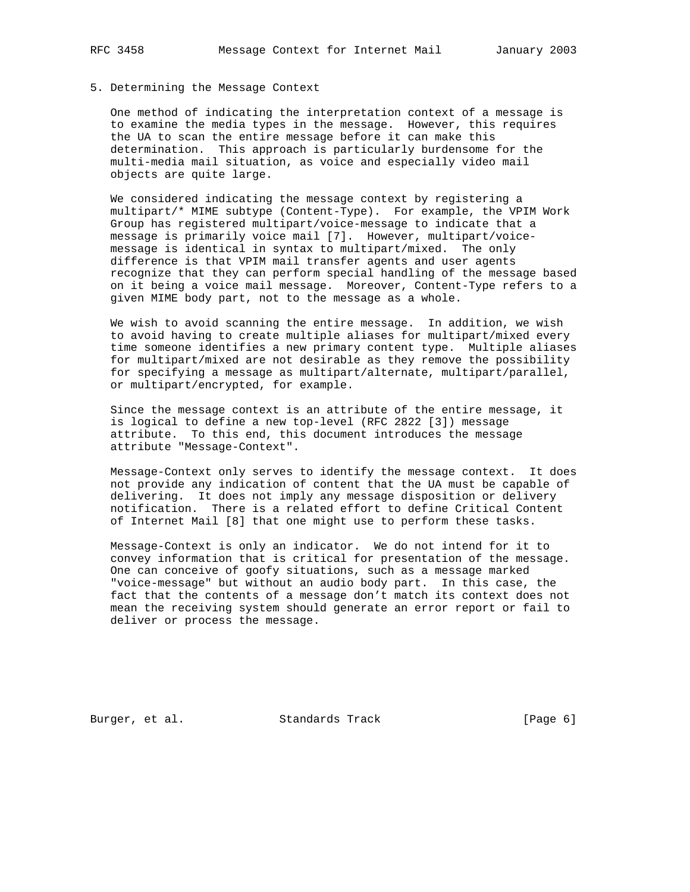### 5. Determining the Message Context

 One method of indicating the interpretation context of a message is to examine the media types in the message. However, this requires the UA to scan the entire message before it can make this determination. This approach is particularly burdensome for the multi-media mail situation, as voice and especially video mail objects are quite large.

 We considered indicating the message context by registering a multipart/\* MIME subtype (Content-Type). For example, the VPIM Work Group has registered multipart/voice-message to indicate that a message is primarily voice mail [7]. However, multipart/voice message is identical in syntax to multipart/mixed. The only difference is that VPIM mail transfer agents and user agents recognize that they can perform special handling of the message based on it being a voice mail message. Moreover, Content-Type refers to a given MIME body part, not to the message as a whole.

 We wish to avoid scanning the entire message. In addition, we wish to avoid having to create multiple aliases for multipart/mixed every time someone identifies a new primary content type. Multiple aliases for multipart/mixed are not desirable as they remove the possibility for specifying a message as multipart/alternate, multipart/parallel, or multipart/encrypted, for example.

 Since the message context is an attribute of the entire message, it is logical to define a new top-level (RFC 2822 [3]) message attribute. To this end, this document introduces the message attribute "Message-Context".

 Message-Context only serves to identify the message context. It does not provide any indication of content that the UA must be capable of delivering. It does not imply any message disposition or delivery notification. There is a related effort to define Critical Content of Internet Mail [8] that one might use to perform these tasks.

 Message-Context is only an indicator. We do not intend for it to convey information that is critical for presentation of the message. One can conceive of goofy situations, such as a message marked "voice-message" but without an audio body part. In this case, the fact that the contents of a message don't match its context does not mean the receiving system should generate an error report or fail to deliver or process the message.

Burger, et al. Standards Track [Page 6]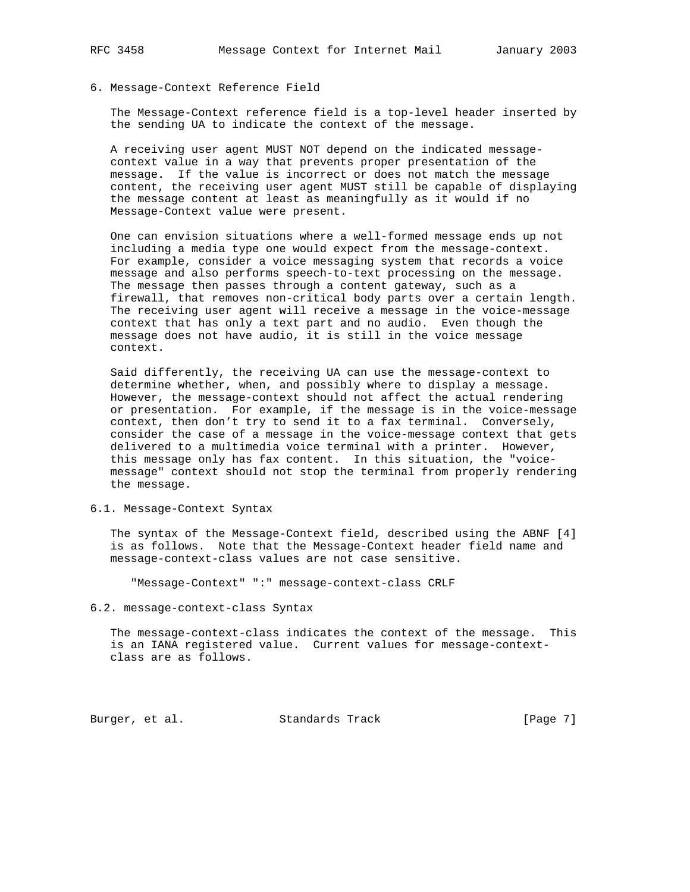# 6. Message-Context Reference Field

 The Message-Context reference field is a top-level header inserted by the sending UA to indicate the context of the message.

 A receiving user agent MUST NOT depend on the indicated message context value in a way that prevents proper presentation of the message. If the value is incorrect or does not match the message content, the receiving user agent MUST still be capable of displaying the message content at least as meaningfully as it would if no Message-Context value were present.

 One can envision situations where a well-formed message ends up not including a media type one would expect from the message-context. For example, consider a voice messaging system that records a voice message and also performs speech-to-text processing on the message. The message then passes through a content gateway, such as a firewall, that removes non-critical body parts over a certain length. The receiving user agent will receive a message in the voice-message context that has only a text part and no audio. Even though the message does not have audio, it is still in the voice message context.

 Said differently, the receiving UA can use the message-context to determine whether, when, and possibly where to display a message. However, the message-context should not affect the actual rendering or presentation. For example, if the message is in the voice-message context, then don't try to send it to a fax terminal. Conversely, consider the case of a message in the voice-message context that gets delivered to a multimedia voice terminal with a printer. However, this message only has fax content. In this situation, the "voice message" context should not stop the terminal from properly rendering the message.

### 6.1. Message-Context Syntax

 The syntax of the Message-Context field, described using the ABNF [4] is as follows. Note that the Message-Context header field name and message-context-class values are not case sensitive.

"Message-Context" ":" message-context-class CRLF

#### 6.2. message-context-class Syntax

 The message-context-class indicates the context of the message. This is an IANA registered value. Current values for message-context class are as follows.

Burger, et al. Standards Track [Page 7]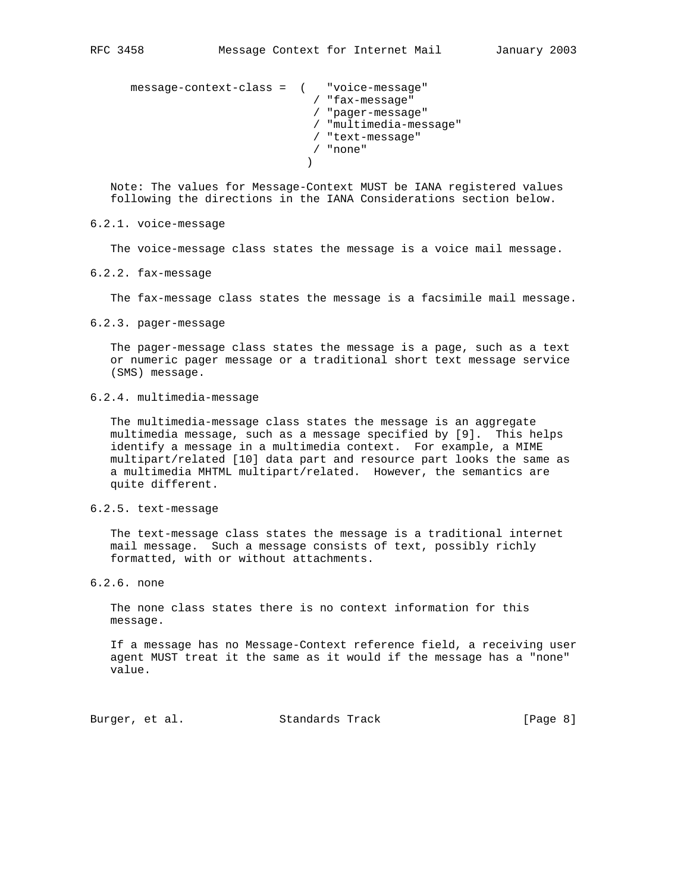```
 message-context-class = ( "voice-message"
                            / "fax-message"
                            / "pager-message"
                            / "multimedia-message"
                            / "text-message"
                            / "none"
)
```
 Note: The values for Message-Context MUST be IANA registered values following the directions in the IANA Considerations section below.

### 6.2.1. voice-message

The voice-message class states the message is a voice mail message.

6.2.2. fax-message

The fax-message class states the message is a facsimile mail message.

6.2.3. pager-message

 The pager-message class states the message is a page, such as a text or numeric pager message or a traditional short text message service (SMS) message.

6.2.4. multimedia-message

 The multimedia-message class states the message is an aggregate multimedia message, such as a message specified by [9]. This helps identify a message in a multimedia context. For example, a MIME multipart/related [10] data part and resource part looks the same as a multimedia MHTML multipart/related. However, the semantics are quite different.

### 6.2.5. text-message

 The text-message class states the message is a traditional internet mail message. Such a message consists of text, possibly richly formatted, with or without attachments.

## 6.2.6. none

 The none class states there is no context information for this message.

 If a message has no Message-Context reference field, a receiving user agent MUST treat it the same as it would if the message has a "none" value.

Burger, et al. Standards Track [Page 8]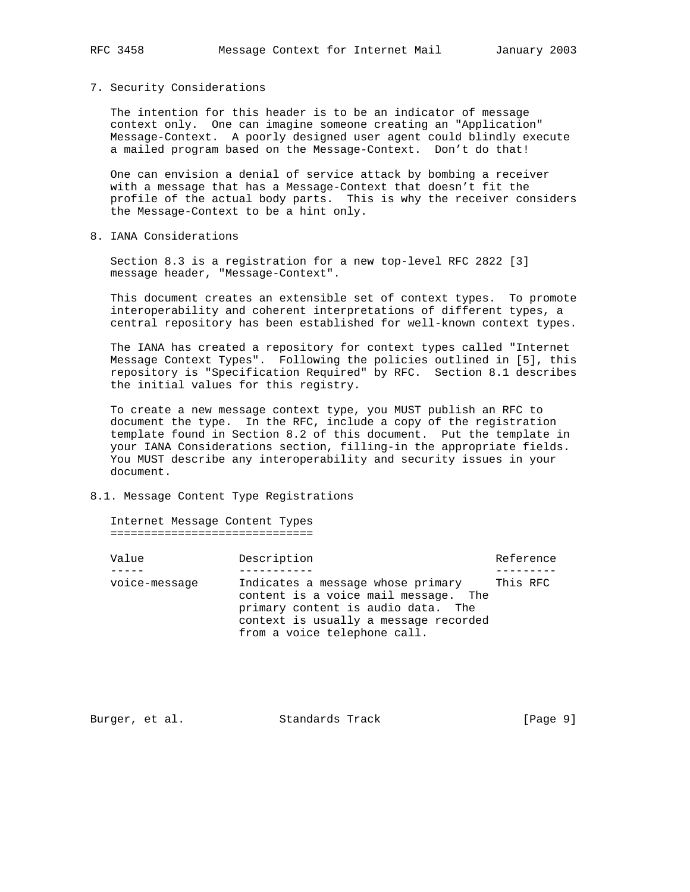#### 7. Security Considerations

 The intention for this header is to be an indicator of message context only. One can imagine someone creating an "Application" Message-Context. A poorly designed user agent could blindly execute a mailed program based on the Message-Context. Don't do that!

 One can envision a denial of service attack by bombing a receiver with a message that has a Message-Context that doesn't fit the profile of the actual body parts. This is why the receiver considers the Message-Context to be a hint only.

8. IANA Considerations

 Section 8.3 is a registration for a new top-level RFC 2822 [3] message header, "Message-Context".

 This document creates an extensible set of context types. To promote interoperability and coherent interpretations of different types, a central repository has been established for well-known context types.

 The IANA has created a repository for context types called "Internet Message Context Types". Following the policies outlined in [5], this repository is "Specification Required" by RFC. Section 8.1 describes the initial values for this registry.

 To create a new message context type, you MUST publish an RFC to document the type. In the RFC, include a copy of the registration template found in Section 8.2 of this document. Put the template in your IANA Considerations section, filling-in the appropriate fields. You MUST describe any interoperability and security issues in your document.

## 8.1. Message Content Type Registrations

 Internet Message Content Types ==============================

| Value         | Description |                                                                                                                                                                                          |          | Reference |
|---------------|-------------|------------------------------------------------------------------------------------------------------------------------------------------------------------------------------------------|----------|-----------|
|               |             |                                                                                                                                                                                          |          |           |
| voice-message |             | Indicates a message whose primary<br>content is a voice mail message. The<br>primary content is audio data. The<br>context is usually a message recorded<br>from a voice telephone call. | This RFC |           |

Burger, et al. Standards Track [Page 9]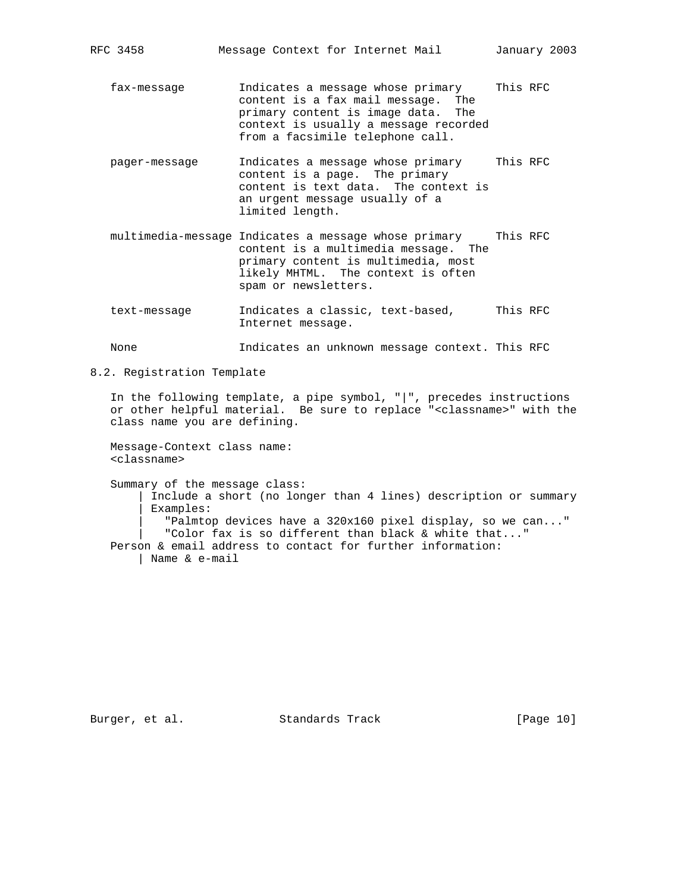RFC 3458 Message Context for Internet Mail January 2003

 fax-message Indicates a message whose primary This RFC content is a fax mail message. The primary content is image data. The context is usually a message recorded from a facsimile telephone call.

- pager-message Indicates a message whose primary This RFC content is a page. The primary content is text data. The context is an urgent message usually of a limited length.
- multimedia-message Indicates a message whose primary This RFC content is a multimedia message. The primary content is multimedia, most likely MHTML. The context is often spam or newsletters.
- text-message Indicates a classic, text-based, This RFC Internet message.

None  $I$  Indicates an unknown message context. This RFC

8.2. Registration Template

 In the following template, a pipe symbol, "|", precedes instructions or other helpful material. Be sure to replace "<classname>" with the class name you are defining.

 Message-Context class name: <classname>

 Summary of the message class: | Include a short (no longer than 4 lines) description or summary | Examples: | "Palmtop devices have a 320x160 pixel display, so we can..." | "Color fax is so different than black & white that..." Person & email address to contact for further information: | Name & e-mail

Burger, et al. Standards Track [Page 10]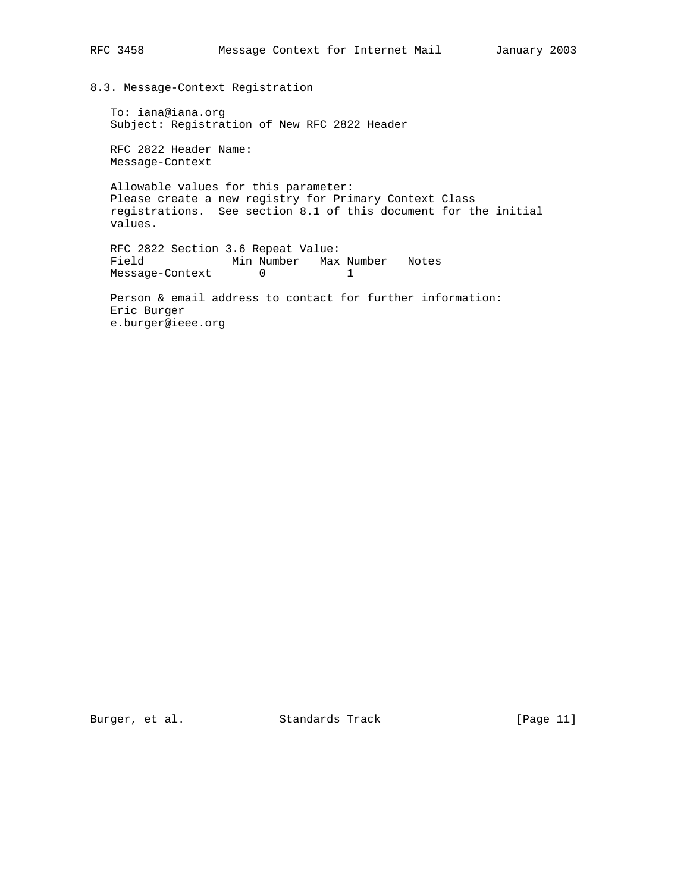## 8.3. Message-Context Registration

 To: iana@iana.org Subject: Registration of New RFC 2822 Header

 RFC 2822 Header Name: Message-Context

 Allowable values for this parameter: Please create a new registry for Primary Context Class registrations. See section 8.1 of this document for the initial values.

 RFC 2822 Section 3.6 Repeat Value: Field Min Number Max Number Notes Message-Context 0 1

 Person & email address to contact for further information: Eric Burger e.burger@ieee.org

Burger, et al. Standards Track [Page 11]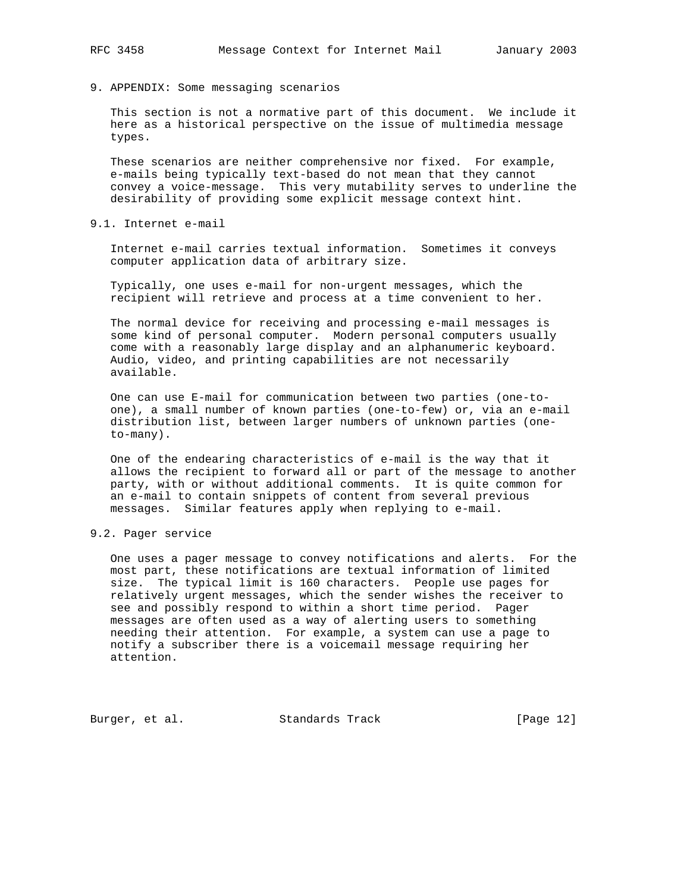9. APPENDIX: Some messaging scenarios

 This section is not a normative part of this document. We include it here as a historical perspective on the issue of multimedia message types.

 These scenarios are neither comprehensive nor fixed. For example, e-mails being typically text-based do not mean that they cannot convey a voice-message. This very mutability serves to underline the desirability of providing some explicit message context hint.

9.1. Internet e-mail

 Internet e-mail carries textual information. Sometimes it conveys computer application data of arbitrary size.

 Typically, one uses e-mail for non-urgent messages, which the recipient will retrieve and process at a time convenient to her.

 The normal device for receiving and processing e-mail messages is some kind of personal computer. Modern personal computers usually come with a reasonably large display and an alphanumeric keyboard. Audio, video, and printing capabilities are not necessarily available.

 One can use E-mail for communication between two parties (one-to one), a small number of known parties (one-to-few) or, via an e-mail distribution list, between larger numbers of unknown parties (one to-many).

 One of the endearing characteristics of e-mail is the way that it allows the recipient to forward all or part of the message to another party, with or without additional comments. It is quite common for an e-mail to contain snippets of content from several previous messages. Similar features apply when replying to e-mail.

### 9.2. Pager service

 One uses a pager message to convey notifications and alerts. For the most part, these notifications are textual information of limited size. The typical limit is 160 characters. People use pages for relatively urgent messages, which the sender wishes the receiver to see and possibly respond to within a short time period. Pager messages are often used as a way of alerting users to something needing their attention. For example, a system can use a page to notify a subscriber there is a voicemail message requiring her attention.

Burger, et al. Standards Track [Page 12]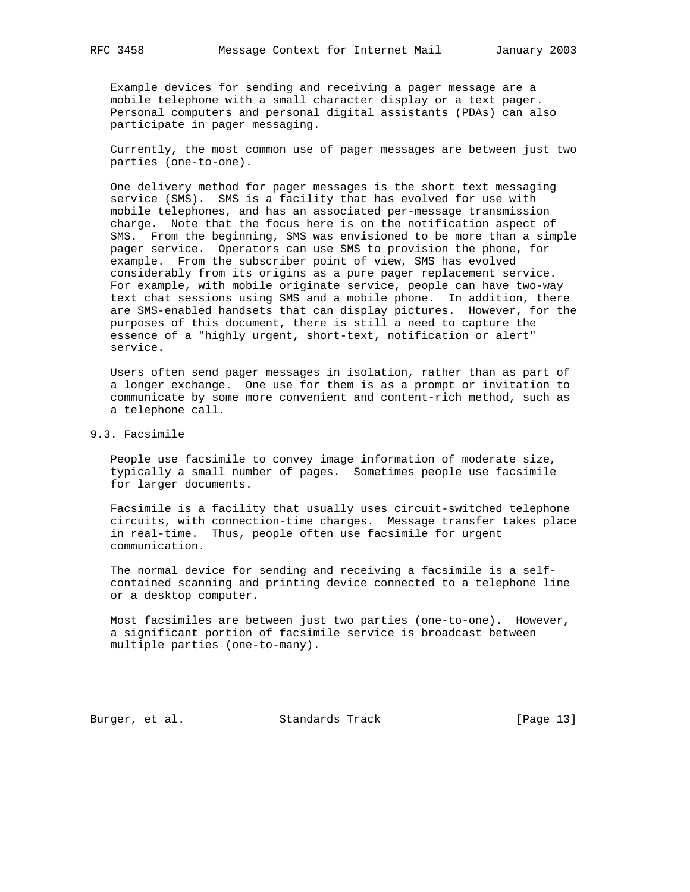Example devices for sending and receiving a pager message are a mobile telephone with a small character display or a text pager. Personal computers and personal digital assistants (PDAs) can also participate in pager messaging.

 Currently, the most common use of pager messages are between just two parties (one-to-one).

 One delivery method for pager messages is the short text messaging service (SMS). SMS is a facility that has evolved for use with mobile telephones, and has an associated per-message transmission charge. Note that the focus here is on the notification aspect of SMS. From the beginning, SMS was envisioned to be more than a simple pager service. Operators can use SMS to provision the phone, for example. From the subscriber point of view, SMS has evolved considerably from its origins as a pure pager replacement service. For example, with mobile originate service, people can have two-way text chat sessions using SMS and a mobile phone. In addition, there are SMS-enabled handsets that can display pictures. However, for the purposes of this document, there is still a need to capture the essence of a "highly urgent, short-text, notification or alert" service.

 Users often send pager messages in isolation, rather than as part of a longer exchange. One use for them is as a prompt or invitation to communicate by some more convenient and content-rich method, such as a telephone call.

# 9.3. Facsimile

 People use facsimile to convey image information of moderate size, typically a small number of pages. Sometimes people use facsimile for larger documents.

 Facsimile is a facility that usually uses circuit-switched telephone circuits, with connection-time charges. Message transfer takes place in real-time. Thus, people often use facsimile for urgent communication.

 The normal device for sending and receiving a facsimile is a self contained scanning and printing device connected to a telephone line or a desktop computer.

 Most facsimiles are between just two parties (one-to-one). However, a significant portion of facsimile service is broadcast between multiple parties (one-to-many).

Burger, et al. Standards Track [Page 13]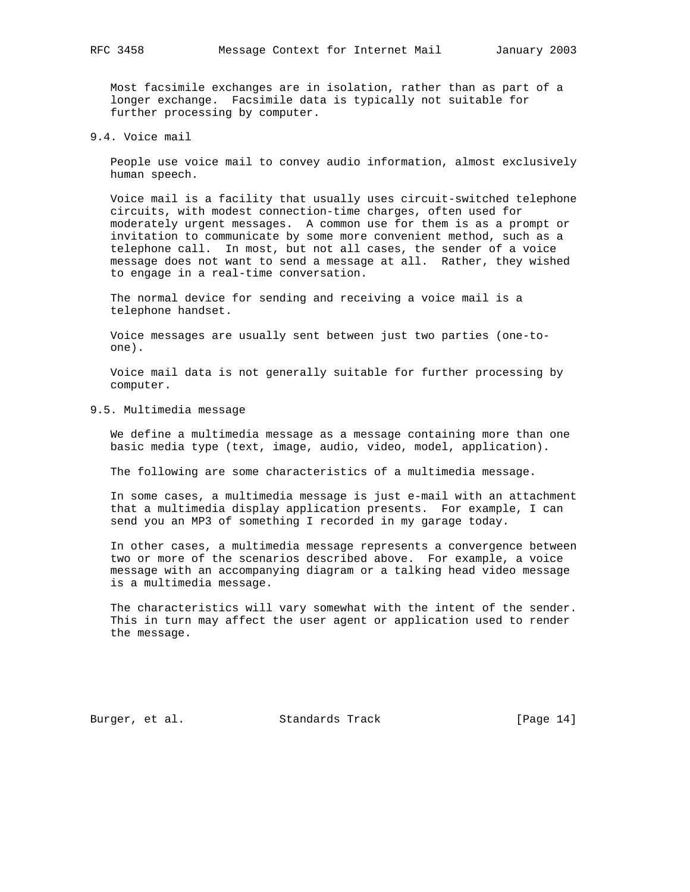Most facsimile exchanges are in isolation, rather than as part of a longer exchange. Facsimile data is typically not suitable for further processing by computer.

9.4. Voice mail

 People use voice mail to convey audio information, almost exclusively human speech.

 Voice mail is a facility that usually uses circuit-switched telephone circuits, with modest connection-time charges, often used for moderately urgent messages. A common use for them is as a prompt or invitation to communicate by some more convenient method, such as a telephone call. In most, but not all cases, the sender of a voice message does not want to send a message at all. Rather, they wished to engage in a real-time conversation.

 The normal device for sending and receiving a voice mail is a telephone handset.

 Voice messages are usually sent between just two parties (one-to one).

 Voice mail data is not generally suitable for further processing by computer.

9.5. Multimedia message

 We define a multimedia message as a message containing more than one basic media type (text, image, audio, video, model, application).

The following are some characteristics of a multimedia message.

 In some cases, a multimedia message is just e-mail with an attachment that a multimedia display application presents. For example, I can send you an MP3 of something I recorded in my garage today.

 In other cases, a multimedia message represents a convergence between two or more of the scenarios described above. For example, a voice message with an accompanying diagram or a talking head video message is a multimedia message.

 The characteristics will vary somewhat with the intent of the sender. This in turn may affect the user agent or application used to render the message.

Burger, et al. Standards Track [Page 14]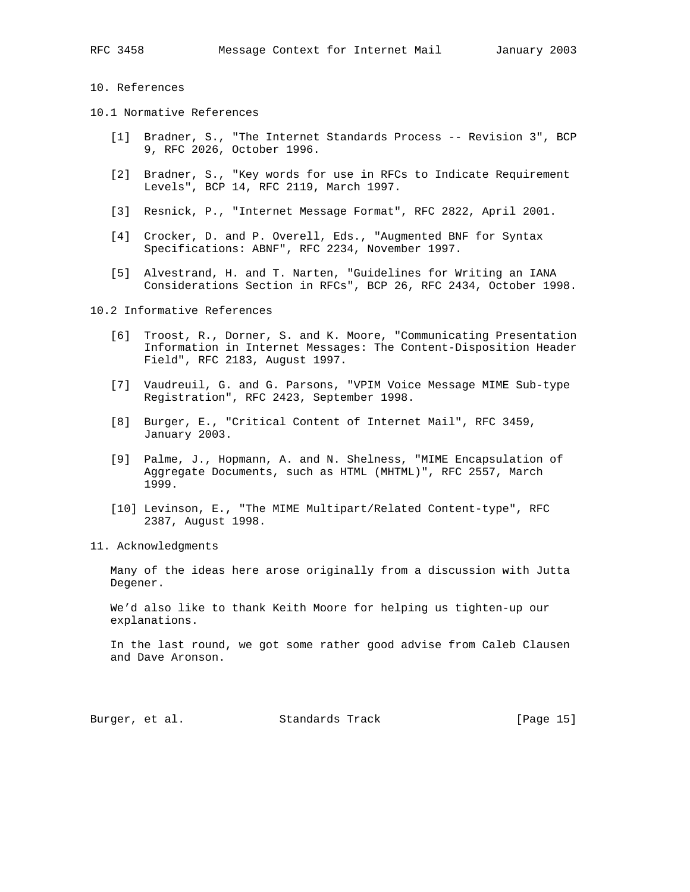## 10. References

- 10.1 Normative References
	- [1] Bradner, S., "The Internet Standards Process -- Revision 3", BCP 9, RFC 2026, October 1996.
	- [2] Bradner, S., "Key words for use in RFCs to Indicate Requirement Levels", BCP 14, RFC 2119, March 1997.
	- [3] Resnick, P., "Internet Message Format", RFC 2822, April 2001.
	- [4] Crocker, D. and P. Overell, Eds., "Augmented BNF for Syntax Specifications: ABNF", RFC 2234, November 1997.
	- [5] Alvestrand, H. and T. Narten, "Guidelines for Writing an IANA Considerations Section in RFCs", BCP 26, RFC 2434, October 1998.

10.2 Informative References

- [6] Troost, R., Dorner, S. and K. Moore, "Communicating Presentation Information in Internet Messages: The Content-Disposition Header Field", RFC 2183, August 1997.
- [7] Vaudreuil, G. and G. Parsons, "VPIM Voice Message MIME Sub-type Registration", RFC 2423, September 1998.
- [8] Burger, E., "Critical Content of Internet Mail", RFC 3459, January 2003.
- [9] Palme, J., Hopmann, A. and N. Shelness, "MIME Encapsulation of Aggregate Documents, such as HTML (MHTML)", RFC 2557, March 1999.
- [10] Levinson, E., "The MIME Multipart/Related Content-type", RFC 2387, August 1998.
- 11. Acknowledgments

 Many of the ideas here arose originally from a discussion with Jutta Degener.

 We'd also like to thank Keith Moore for helping us tighten-up our explanations.

 In the last round, we got some rather good advise from Caleb Clausen and Dave Aronson.

Burger, et al. Standards Track [Page 15]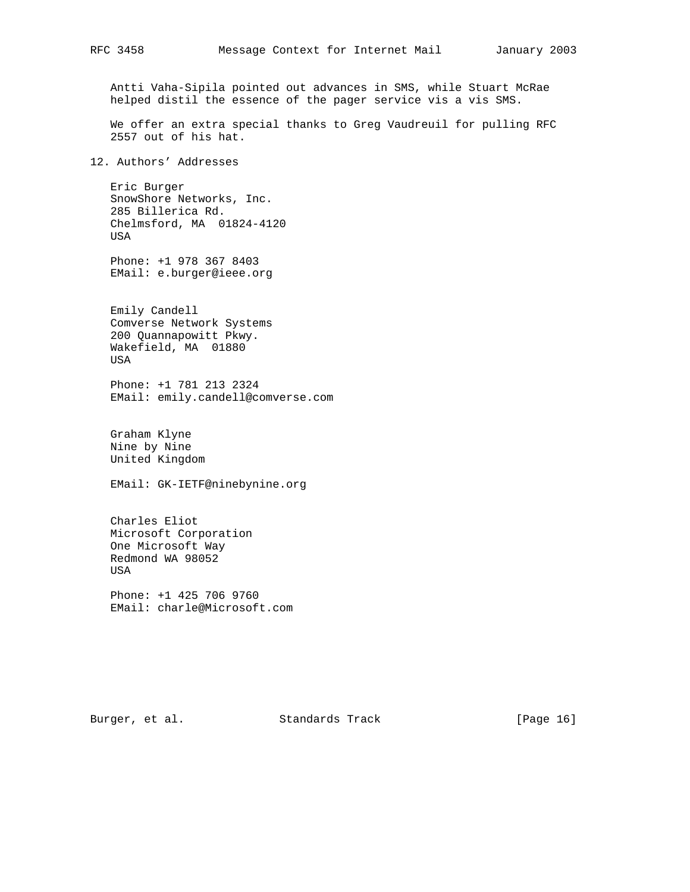Antti Vaha-Sipila pointed out advances in SMS, while Stuart McRae helped distil the essence of the pager service vis a vis SMS.

 We offer an extra special thanks to Greg Vaudreuil for pulling RFC 2557 out of his hat.

12. Authors' Addresses

 Eric Burger SnowShore Networks, Inc. 285 Billerica Rd. Chelmsford, MA 01824-4120 USA

 Phone: +1 978 367 8403 EMail: e.burger@ieee.org

 Emily Candell Comverse Network Systems 200 Quannapowitt Pkwy. Wakefield, MA 01880 USA

 Phone: +1 781 213 2324 EMail: emily.candell@comverse.com

 Graham Klyne Nine by Nine United Kingdom

EMail: GK-IETF@ninebynine.org

 Charles Eliot Microsoft Corporation One Microsoft Way Redmond WA 98052 USA

 Phone: +1 425 706 9760 EMail: charle@Microsoft.com

Burger, et al. Standards Track [Page 16]